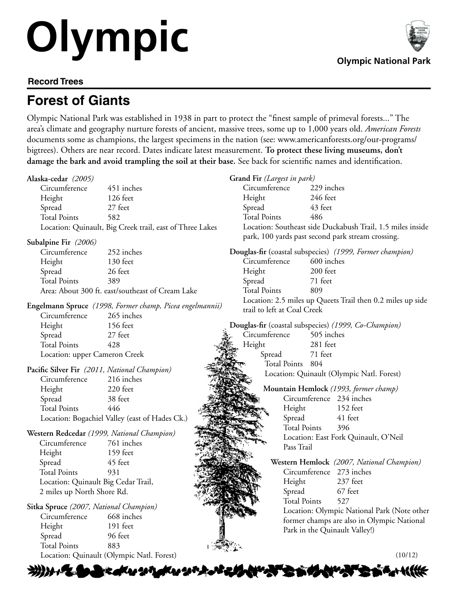## **Olympic Givenpoint Olympic National Park**

**ANY BEATH** 

## **Record Trees**

## **Forest of Giants**

Olympic National Park was established in 1938 in part to protect the "finest sample of primeval forests..." The area's climate and geography nurture forests of ancient, massive trees, some up to 1,000 years old. *American Forests*  documents some as champions, the largest specimens in the nation (see: www.americanforests.org/our-programs/ bigtrees). Others are near record. Dates indicate latest measurement. **To protect these living museums, don't damage the bark and avoid trampling the soil at their base.** See back for scientific names and identification.

| Alaska-cedar (2005)                                               |                                                  |        | Grand Fir (Largest in park)                                                 |                          |            |                                                      |  |
|-------------------------------------------------------------------|--------------------------------------------------|--------|-----------------------------------------------------------------------------|--------------------------|------------|------------------------------------------------------|--|
| Circumference                                                     | 451 inches                                       |        | Circumference                                                               |                          | 229 inches |                                                      |  |
| Height                                                            | 126 feet                                         |        | Height                                                                      |                          | 246 feet   |                                                      |  |
| Spread                                                            | 27 feet                                          |        | Spread                                                                      |                          | 43 feet    |                                                      |  |
| <b>Total Points</b>                                               | 582                                              |        | <b>Total Points</b>                                                         | 486                      |            |                                                      |  |
| Location: Quinault, Big Creek trail, east of Three Lakes          |                                                  |        | Location: Southeast side Duckabush Trail, 1.5 miles inside                  |                          |            |                                                      |  |
| Subalpine Fir (2006)                                              |                                                  |        | park, 100 yards past second park stream crossing.                           |                          |            |                                                      |  |
| Circumference<br>252 inches                                       |                                                  |        | Douglas-fir (coastal subspecies) (1999, Former champion)                    |                          |            |                                                      |  |
| Height                                                            | 130 feet                                         |        | Circumference                                                               |                          | 600 inches |                                                      |  |
| Spread                                                            | 26 feet                                          |        | Height                                                                      |                          | 200 feet   |                                                      |  |
| <b>Total Points</b>                                               | 389                                              | Spread |                                                                             | 71 feet                  |            |                                                      |  |
|                                                                   | Area: About 300 ft. east/southeast of Cream Lake |        | <b>Total Points</b>                                                         | 809                      |            |                                                      |  |
|                                                                   |                                                  |        | Location: 2.5 miles up Queets Trail then 0.2 miles up side                  |                          |            |                                                      |  |
| Engelmann Spruce (1998, Former champ, Picea engelmannii)          |                                                  |        | trail to left at Coal Creek                                                 |                          |            |                                                      |  |
| Circumference                                                     | 265 inches                                       |        |                                                                             |                          |            |                                                      |  |
| Height                                                            | 156 feet                                         |        |                                                                             |                          |            | Douglas-fir (coastal subspecies) (1999, Co-Champion) |  |
| Spread                                                            | 27 feet                                          |        | Circumference                                                               |                          | 505 inches |                                                      |  |
| <b>Total Points</b>                                               | 428                                              |        | Height                                                                      |                          | 281 feet   |                                                      |  |
| Location: upper Cameron Creek                                     |                                                  |        | 71 feet<br>Spread                                                           |                          |            |                                                      |  |
|                                                                   |                                                  |        |                                                                             | Total Points 804         |            |                                                      |  |
| Pacific Silver Fir (2011, National Champion)                      |                                                  |        |                                                                             |                          |            | Location: Quinault (Olympic Natl. Forest)            |  |
| Circumference                                                     | 216 inches                                       |        |                                                                             |                          |            |                                                      |  |
| Height                                                            | 220 feet                                         |        |                                                                             |                          |            | Mountain Hemlock (1993, former champ)                |  |
| Spread                                                            | 38 feet                                          |        |                                                                             | Circumference 234 inches |            |                                                      |  |
| <b>Total Points</b>                                               | 446                                              |        |                                                                             | Height                   |            | 152 feet                                             |  |
|                                                                   | Location: Bogachiel Valley (east of Hades Ck.)   |        |                                                                             | Spread                   |            | 41 feet                                              |  |
| Western Redcedar (1999, National Champion)                        |                                                  |        |                                                                             | <b>Total Points</b>      |            | 396                                                  |  |
| Circumference                                                     | 761 inches                                       |        |                                                                             |                          |            | Location: East Fork Quinault, O'Neil                 |  |
| Height                                                            | 159 feet                                         |        |                                                                             | Pass Trail               |            |                                                      |  |
| Spread                                                            | 45 feet                                          |        |                                                                             |                          |            | Western Hemlock (2007, National Champion)            |  |
| <b>Total Points</b>                                               | 931                                              |        |                                                                             | Circumference 273 inches |            |                                                      |  |
|                                                                   |                                                  |        |                                                                             | Height                   |            | 237 feet                                             |  |
| Location: Quinault Big Cedar Trail,<br>2 miles up North Shore Rd. |                                                  |        |                                                                             | Spread                   |            | 67 feet                                              |  |
|                                                                   |                                                  |        |                                                                             | <b>Total Points</b>      |            | 527                                                  |  |
| Sitka Spruce (2007, National Champion)                            |                                                  |        |                                                                             |                          |            | Location: Olympic National Park (Note other          |  |
| Circumference                                                     | 668 inches                                       |        |                                                                             |                          |            |                                                      |  |
| Height                                                            | 191 feet                                         |        | former champs are also in Olympic National<br>Park in the Quinault Valley!) |                          |            |                                                      |  |
| Spread                                                            | 96 feet                                          |        |                                                                             |                          |            |                                                      |  |
| <b>Total Points</b>                                               | 883                                              |        |                                                                             |                          |            |                                                      |  |
| Location: Quinault (Olympic Natl. Forest)                         |                                                  |        |                                                                             |                          | (10/12)    |                                                      |  |

※いいてもことへいいいんいいいという